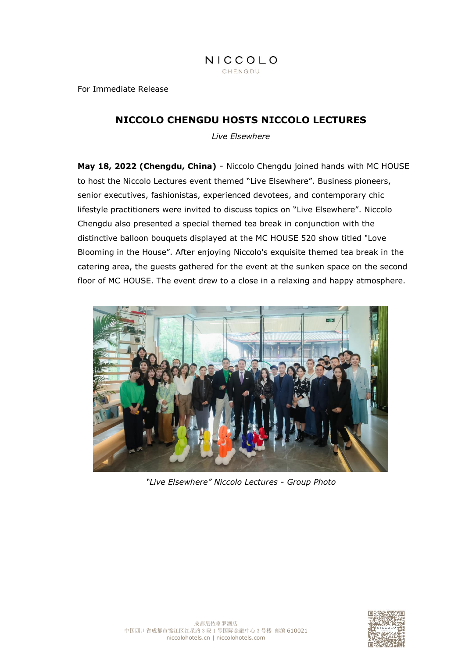For Immediate Release

# **NICCOLO CHENGDU HOSTS NICCOLO LECTURES**

*Live Elsewhere*

**May 18, 2022 (Chengdu, China)** - Niccolo Chengdu joined hands with MC HOUSE to host the Niccolo Lectures event themed "Live Elsewhere". Business pioneers, senior executives, fashionistas, experienced devotees, and contemporary chic lifestyle practitioners were invited to discuss topics on "Live Elsewhere". Niccolo Chengdu also presented a special themed tea break in conjunction with the distinctive balloon bouquets displayed at the MC HOUSE 520 show titled "Love Blooming in the House". After enjoying Niccolo's exquisite themed tea break in the catering area, the guests gathered for the event at the sunken space on the second floor of MC HOUSE. The event drew to a close in a relaxing and happy atmosphere.



*"Live Elsewhere" Niccolo Lectures - Group Photo*

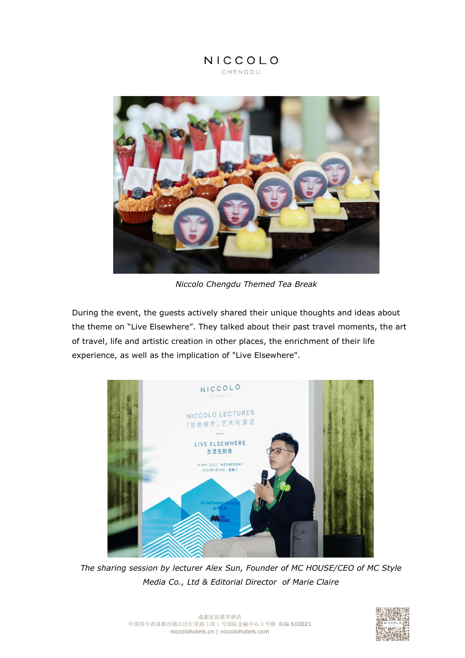

*Niccolo Chengdu Themed Tea Break*

During the event, the guests actively shared their unique thoughts and ideas about the theme on "Live Elsewhere". They talked about their past travel moments, the art of travel, life and artistic creation in other places, the enrichment of their life experience, as well as the implication of "Live Elsewhere".



*The sharing session by lecturer Alex Sun, Founder of MC HOUSE/CEO of MC Style Media Co., Ltd & Editorial Director of Marie Claire*

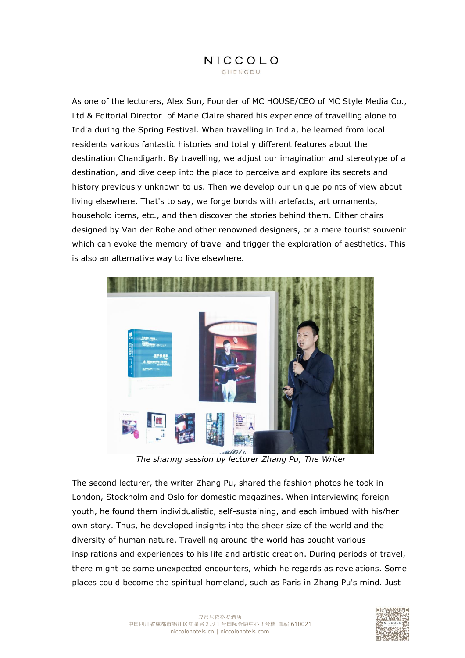As one of the lecturers, Alex Sun, Founder of MC HOUSE/CEO of MC Style Media Co., Ltd & Editorial Director of Marie Claire shared his experience of travelling alone to India during the Spring Festival. When travelling in India, he learned from local residents various fantastic histories and totally different features about the destination Chandigarh. By travelling, we adjust our imagination and stereotype of a destination, and dive deep into the place to perceive and explore its secrets and history previously unknown to us. Then we develop our unique points of view about living elsewhere. That's to say, we forge bonds with artefacts, art ornaments, household items, etc., and then discover the stories behind them. Either chairs designed by Van der Rohe and other renowned designers, or a mere tourist souvenir which can evoke the memory of travel and trigger the exploration of aesthetics. This is also an alternative way to live elsewhere.



*The sharing session by lecturer Zhang Pu, The Writer*

The second lecturer, the writer Zhang Pu, shared the fashion photos he took in London, Stockholm and Oslo for domestic magazines. When interviewing foreign youth, he found them individualistic, self-sustaining, and each imbued with his/her own story. Thus, he developed insights into the sheer size of the world and the diversity of human nature. Travelling around the world has bought various inspirations and experiences to his life and artistic creation. During periods of travel, there might be some unexpected encounters, which he regards as revelations. Some places could become the spiritual homeland, such as Paris in Zhang Pu's mind. Just

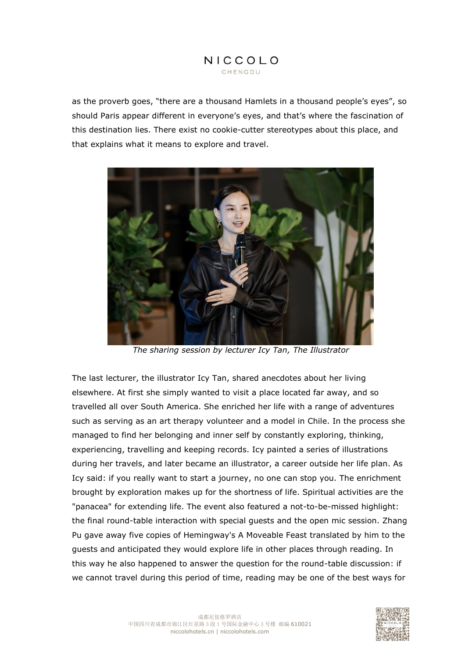as the proverb goes, "there are a thousand Hamlets in a thousand people's eyes", so should Paris appear different in everyone's eyes, and that's where the fascination of this destination lies. There exist no cookie-cutter stereotypes about this place, and that explains what it means to explore and travel.



*The sharing session by lecturer Icy Tan, The Illustrator*

The last lecturer, the illustrator Icy Tan, shared anecdotes about her living elsewhere. At first she simply wanted to visit a place located far away, and so travelled all over South America. She enriched her life with a range of adventures such as serving as an art therapy volunteer and a model in Chile. In the process she managed to find her belonging and inner self by constantly exploring, thinking, experiencing, travelling and keeping records. Icy painted a series of illustrations during her travels, and later became an illustrator, a career outside her life plan. As Icy said: if you really want to start a journey, no one can stop you. The enrichment brought by exploration makes up for the shortness of life. Spiritual activities are the "panacea" for extending life. The event also featured a not-to-be-missed highlight: the final round-table interaction with special guests and the open mic session. Zhang Pu gave away five copies of Hemingway's A Moveable Feast translated by him to the guests and anticipated they would explore life in other places through reading. In this way he also happened to answer the question for the round-table discussion: if we cannot travel during this period of time, reading may be one of the best ways for

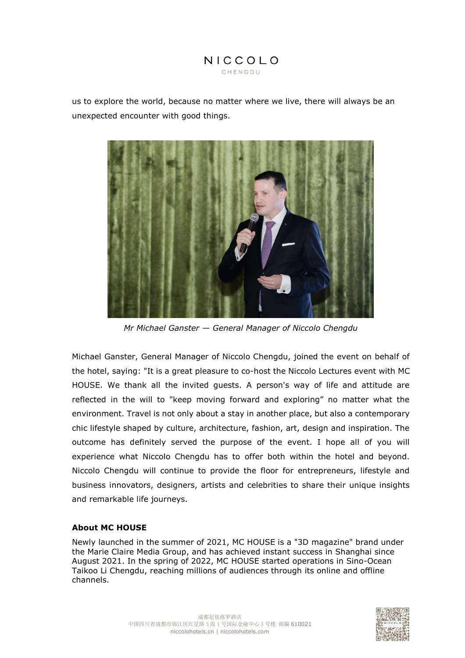

us to explore the world, because no matter where we live, there will always be an unexpected encounter with good things.



*Mr Michael Ganster — General Manager of Niccolo Chengdu*

Michael Ganster, General Manager of Niccolo Chengdu, joined the event on behalf of the hotel, saying: "It is a great pleasure to co-host the Niccolo Lectures event with MC HOUSE. We thank all the invited guests. A person's way of life and attitude are reflected in the will to "keep moving forward and exploring" no matter what the environment. Travel is not only about a stay in another place, but also a contemporary chic lifestyle shaped by culture, architecture, fashion, art, design and inspiration. The outcome has definitely served the purpose of the event. I hope all of you will experience what Niccolo Chengdu has to offer both within the hotel and beyond. Niccolo Chengdu will continue to provide the floor for entrepreneurs, lifestyle and business innovators, designers, artists and celebrities to share their unique insights and remarkable life journeys.

### **About MC HOUSE**

Newly launched in the summer of 2021, MC HOUSE is a "3D magazine" brand under the Marie Claire Media Group, and has achieved instant success in Shanghai since August 2021. In the spring of 2022, MC HOUSE started operations in Sino-Ocean Taikoo Li Chengdu, reaching millions of audiences through its online and offline channels.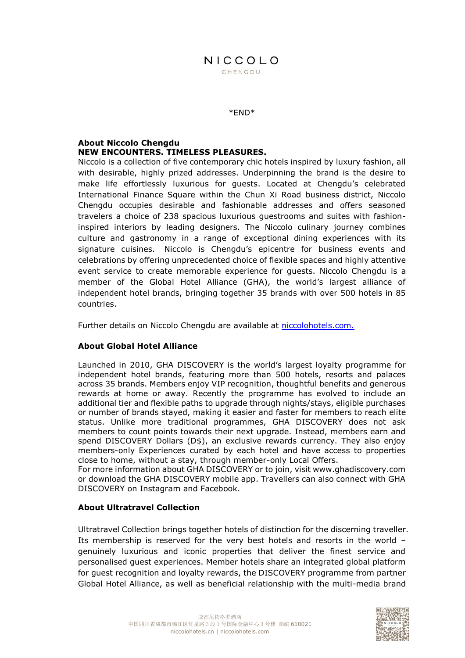\*END\*

#### **About Niccolo Chengdu NEW ENCOUNTERS. TIMELESS PLEASURES.**

Niccolo is a collection of five contemporary chic hotels inspired by luxury fashion, all with desirable, highly prized addresses. Underpinning the brand is the desire to make life effortlessly luxurious for guests. Located at Chengdu's celebrated International Finance Square within the Chun Xi Road business district, Niccolo Chengdu occupies desirable and fashionable addresses and offers seasoned travelers a choice of 238 spacious luxurious guestrooms and suites with fashioninspired interiors by leading designers. The Niccolo culinary journey combines culture and gastronomy in a range of exceptional dining experiences with its signature cuisines. Niccolo is Chengdu's epicentre for business events and celebrations by offering unprecedented choice of flexible spaces and highly attentive event service to create memorable experience for guests. Niccolo Chengdu is a member of the Global Hotel Alliance (GHA), the world's largest alliance of independent hotel brands, bringing together 35 brands with over 500 hotels in 85 countries.

Further details on Niccolo Chengdu are available at<niccolohotels.com.>

### **About Global Hotel Alliance**

Launched in 2010, GHA DISCOVERY is the world's largest loyalty programme for independent hotel brands, featuring more than 500 hotels, resorts and palaces across 35 brands. Members enjoy VIP recognition, thoughtful benefits and generous rewards at home or away. Recently the programme has evolved to include an additional tier and flexible paths to upgrade through nights/stays, eligible purchases or number of brands stayed, making it easier and faster for members to reach elite status. Unlike more traditional programmes, GHA DISCOVERY does not ask members to count points towards their next upgrade. Instead, members earn and spend DISCOVERY Dollars (D\$), an exclusive rewards currency. They also enjoy members-only Experiences curated by each hotel and have access to properties close to home, without a stay, through member-only Local Offers.

For more information about GHA DISCOVERY or to join, visit www.ghadiscovery.com or download the GHA DISCOVERY mobile app. Travellers can also connect with GHA DISCOVERY on Instagram and Facebook.

### **About Ultratravel Collection**

Ultratravel Collection brings together hotels of distinction for the discerning traveller. Its membership is reserved for the very best hotels and resorts in the world – genuinely luxurious and iconic properties that deliver the finest service and personalised guest experiences. Member hotels share an integrated global platform for guest recognition and loyalty rewards, the DISCOVERY programme from partner Global Hotel Alliance, as well as beneficial relationship with the multi-media brand